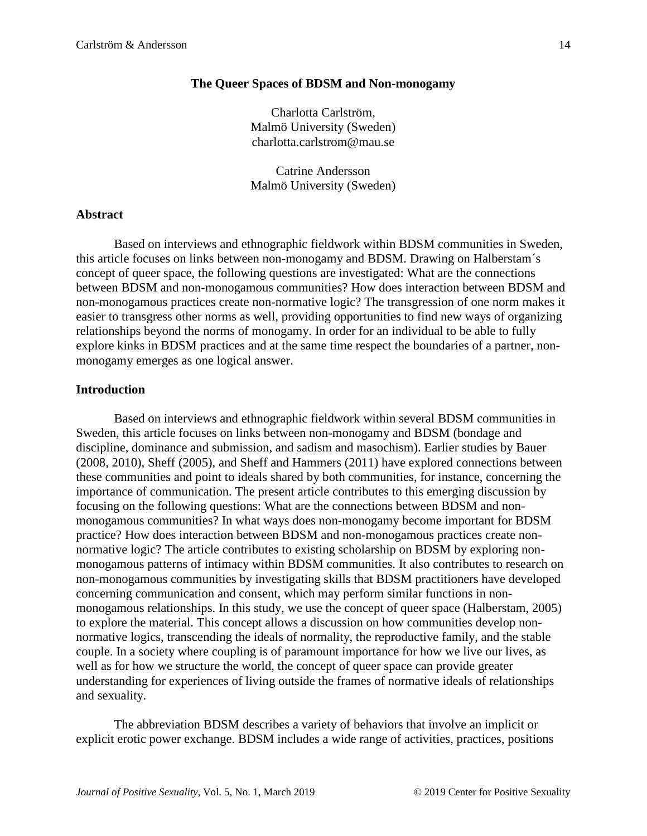# **The Queer Spaces of BDSM and Non-monogamy**

Charlotta Carlström, Malmö University (Sweden) charlotta.carlstrom@mau.se

Catrine Andersson Malmö University (Sweden)

# **Abstract**

Based on interviews and ethnographic fieldwork within BDSM communities in Sweden, this article focuses on links between non-monogamy and BDSM. Drawing on Halberstam´s concept of queer space, the following questions are investigated: What are the connections between BDSM and non-monogamous communities? How does interaction between BDSM and non-monogamous practices create non-normative logic? The transgression of one norm makes it easier to transgress other norms as well, providing opportunities to find new ways of organizing relationships beyond the norms of monogamy. In order for an individual to be able to fully explore kinks in BDSM practices and at the same time respect the boundaries of a partner, nonmonogamy emerges as one logical answer.

## **Introduction**

Based on interviews and ethnographic fieldwork within several BDSM communities in Sweden, this article focuses on links between non-monogamy and BDSM (bondage and discipline, dominance and submission, and sadism and masochism). Earlier studies by Bauer (2008, 2010), Sheff (2005), and Sheff and Hammers (2011) have explored connections between these communities and point to ideals shared by both communities, for instance, concerning the importance of communication. The present article contributes to this emerging discussion by focusing on the following questions: What are the connections between BDSM and nonmonogamous communities? In what ways does non-monogamy become important for BDSM practice? How does interaction between BDSM and non-monogamous practices create nonnormative logic? The article contributes to existing scholarship on BDSM by exploring nonmonogamous patterns of intimacy within BDSM communities. It also contributes to research on non-monogamous communities by investigating skills that BDSM practitioners have developed concerning communication and consent, which may perform similar functions in nonmonogamous relationships. In this study, we use the concept of queer space (Halberstam, 2005) to explore the material. This concept allows a discussion on how communities develop nonnormative logics, transcending the ideals of normality, the reproductive family, and the stable couple. In a society where coupling is of paramount importance for how we live our lives, as well as for how we structure the world, the concept of queer space can provide greater understanding for experiences of living outside the frames of normative ideals of relationships and sexuality.

The abbreviation BDSM describes a variety of behaviors that involve an implicit or explicit erotic power exchange. BDSM includes a wide range of activities, practices, positions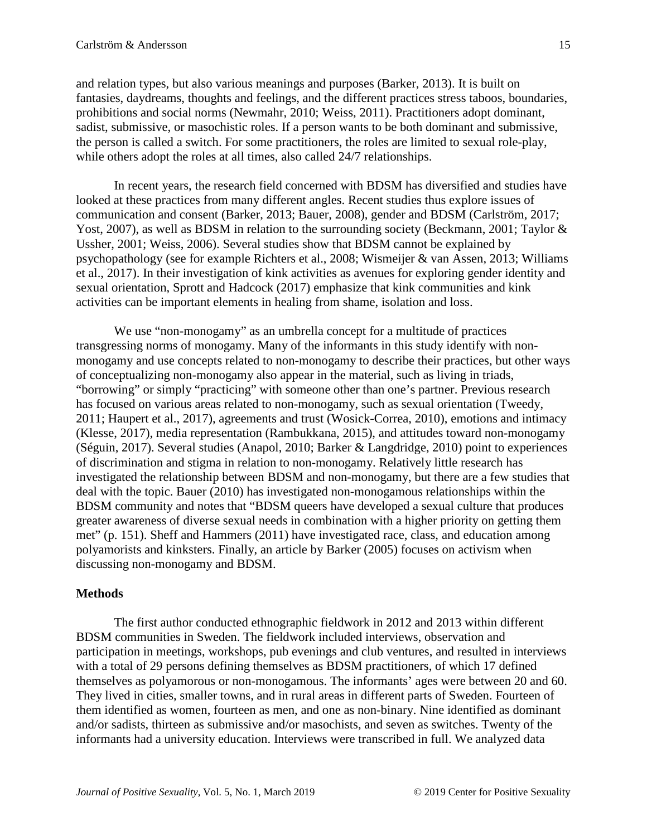and relation types, but also various meanings and purposes (Barker, 2013). It is built on fantasies, daydreams, thoughts and feelings, and the different practices stress taboos, boundaries, prohibitions and social norms (Newmahr, 2010; Weiss, 2011). Practitioners adopt dominant, sadist, submissive, or masochistic roles. If a person wants to be both dominant and submissive, the person is called a switch. For some practitioners, the roles are limited to sexual role-play, while others adopt the roles at all times, also called 24/7 relationships.

In recent years, the research field concerned with BDSM has diversified and studies have looked at these practices from many different angles. Recent studies thus explore issues of communication and consent (Barker, 2013; Bauer, 2008), gender and BDSM (Carlström, 2017; Yost, 2007), as well as BDSM in relation to the surrounding society (Beckmann, 2001; Taylor & Ussher, 2001; Weiss, 2006). Several studies show that BDSM cannot be explained by psychopathology (see for example Richters et al., 2008; Wismeijer & van Assen, 2013; Williams et al., 2017). In their investigation of kink activities as avenues for exploring gender identity and sexual orientation, Sprott and Hadcock (2017) emphasize that kink communities and kink activities can be important elements in healing from shame, isolation and loss.

We use "non-monogamy" as an umbrella concept for a multitude of practices transgressing norms of monogamy. Many of the informants in this study identify with nonmonogamy and use concepts related to non-monogamy to describe their practices, but other ways of conceptualizing non-monogamy also appear in the material, such as living in triads, "borrowing" or simply "practicing" with someone other than one's partner. Previous research has focused on various areas related to non-monogamy, such as sexual orientation (Tweedy, 2011; Haupert et al., 2017), agreements and trust (Wosick-Correa, 2010), emotions and intimacy (Klesse, 2017), media representation (Rambukkana, 2015), and attitudes toward non-monogamy (Séguin, 2017). Several studies (Anapol, 2010; Barker & Langdridge, 2010) point to experiences of discrimination and stigma in relation to non-monogamy. Relatively little research has investigated the relationship between BDSM and non-monogamy, but there are a few studies that deal with the topic. Bauer (2010) has investigated non-monogamous relationships within the BDSM community and notes that "BDSM queers have developed a sexual culture that produces greater awareness of diverse sexual needs in combination with a higher priority on getting them met" (p. 151). Sheff and Hammers (2011) have investigated race, class, and education among polyamorists and kinksters. Finally, an article by Barker (2005) focuses on activism when discussing non-monogamy and BDSM.

# **Methods**

The first author conducted ethnographic fieldwork in 2012 and 2013 within different BDSM communities in Sweden. The fieldwork included interviews, observation and participation in meetings, workshops, pub evenings and club ventures, and resulted in interviews with a total of 29 persons defining themselves as BDSM practitioners, of which 17 defined themselves as polyamorous or non-monogamous. The informants' ages were between 20 and 60. They lived in cities, smaller towns, and in rural areas in different parts of Sweden. Fourteen of them identified as women, fourteen as men, and one as non-binary. Nine identified as dominant and/or sadists, thirteen as submissive and/or masochists, and seven as switches. Twenty of the informants had a university education. Interviews were transcribed in full. We analyzed data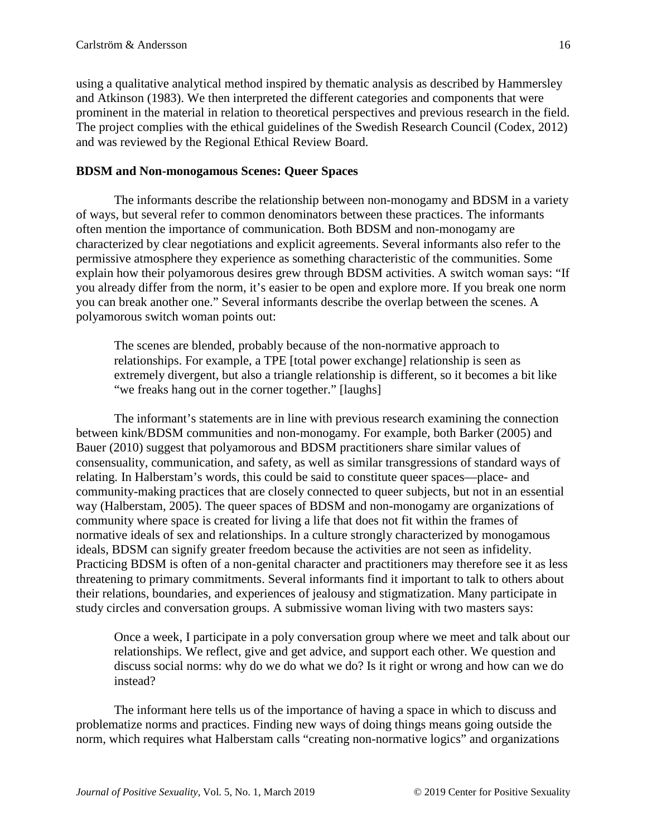using a qualitative analytical method inspired by thematic analysis as described by Hammersley and Atkinson (1983). We then interpreted the different categories and components that were prominent in the material in relation to theoretical perspectives and previous research in the field. The project complies with the ethical guidelines of the Swedish Research Council (Codex, 2012) and was reviewed by the Regional Ethical Review Board.

## **BDSM and Non-monogamous Scenes: Queer Spaces**

The informants describe the relationship between non-monogamy and BDSM in a variety of ways, but several refer to common denominators between these practices. The informants often mention the importance of communication. Both BDSM and non-monogamy are characterized by clear negotiations and explicit agreements. Several informants also refer to the permissive atmosphere they experience as something characteristic of the communities. Some explain how their polyamorous desires grew through BDSM activities. A switch woman says: "If you already differ from the norm, it's easier to be open and explore more. If you break one norm you can break another one." Several informants describe the overlap between the scenes. A polyamorous switch woman points out:

The scenes are blended, probably because of the non-normative approach to relationships. For example, a TPE [total power exchange] relationship is seen as extremely divergent, but also a triangle relationship is different, so it becomes a bit like "we freaks hang out in the corner together." [laughs]

The informant's statements are in line with previous research examining the connection between kink/BDSM communities and non-monogamy. For example, both Barker (2005) and Bauer (2010) suggest that polyamorous and BDSM practitioners share similar values of consensuality, communication, and safety, as well as similar transgressions of standard ways of relating. In Halberstam's words, this could be said to constitute queer spaces—place- and community-making practices that are closely connected to queer subjects, but not in an essential way (Halberstam, 2005). The queer spaces of BDSM and non-monogamy are organizations of community where space is created for living a life that does not fit within the frames of normative ideals of sex and relationships. In a culture strongly characterized by monogamous ideals, BDSM can signify greater freedom because the activities are not seen as infidelity. Practicing BDSM is often of a non-genital character and practitioners may therefore see it as less threatening to primary commitments. Several informants find it important to talk to others about their relations, boundaries, and experiences of jealousy and stigmatization. Many participate in study circles and conversation groups. A submissive woman living with two masters says:

Once a week, I participate in a poly conversation group where we meet and talk about our relationships. We reflect, give and get advice, and support each other. We question and discuss social norms: why do we do what we do? Is it right or wrong and how can we do instead?

The informant here tells us of the importance of having a space in which to discuss and problematize norms and practices. Finding new ways of doing things means going outside the norm, which requires what Halberstam calls "creating non-normative logics" and organizations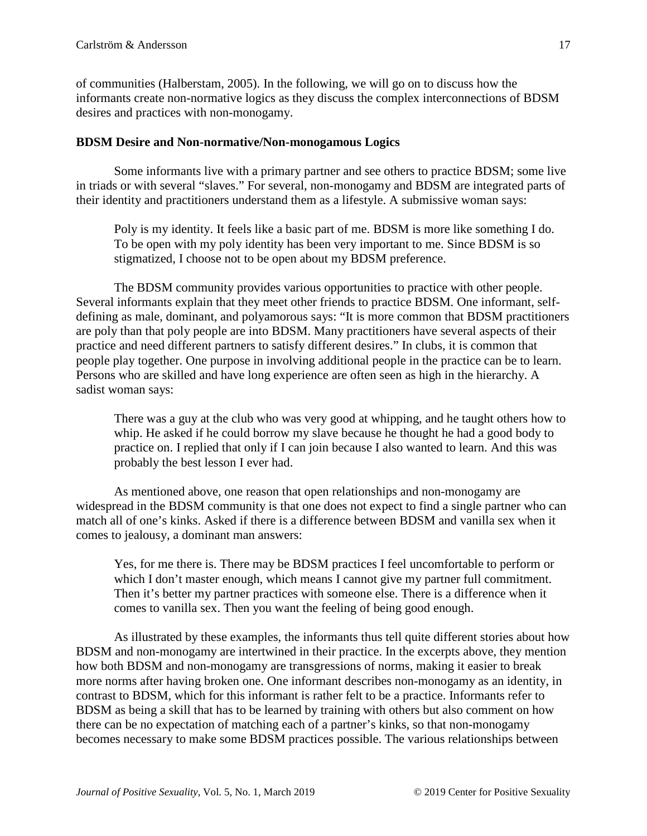of communities (Halberstam, 2005). In the following, we will go on to discuss how the informants create non-normative logics as they discuss the complex interconnections of BDSM desires and practices with non-monogamy.

#### **BDSM Desire and Non-normative/Non-monogamous Logics**

Some informants live with a primary partner and see others to practice BDSM; some live in triads or with several "slaves." For several, non-monogamy and BDSM are integrated parts of their identity and practitioners understand them as a lifestyle. A submissive woman says:

Poly is my identity. It feels like a basic part of me. BDSM is more like something I do. To be open with my poly identity has been very important to me. Since BDSM is so stigmatized, I choose not to be open about my BDSM preference.

The BDSM community provides various opportunities to practice with other people. Several informants explain that they meet other friends to practice BDSM. One informant, selfdefining as male, dominant, and polyamorous says: "It is more common that BDSM practitioners are poly than that poly people are into BDSM. Many practitioners have several aspects of their practice and need different partners to satisfy different desires." In clubs, it is common that people play together. One purpose in involving additional people in the practice can be to learn. Persons who are skilled and have long experience are often seen as high in the hierarchy. A sadist woman says:

There was a guy at the club who was very good at whipping, and he taught others how to whip. He asked if he could borrow my slave because he thought he had a good body to practice on. I replied that only if I can join because I also wanted to learn. And this was probably the best lesson I ever had.

As mentioned above, one reason that open relationships and non-monogamy are widespread in the BDSM community is that one does not expect to find a single partner who can match all of one's kinks. Asked if there is a difference between BDSM and vanilla sex when it comes to jealousy, a dominant man answers:

Yes, for me there is. There may be BDSM practices I feel uncomfortable to perform or which I don't master enough, which means I cannot give my partner full commitment. Then it's better my partner practices with someone else. There is a difference when it comes to vanilla sex. Then you want the feeling of being good enough.

As illustrated by these examples, the informants thus tell quite different stories about how BDSM and non-monogamy are intertwined in their practice. In the excerpts above, they mention how both BDSM and non-monogamy are transgressions of norms, making it easier to break more norms after having broken one. One informant describes non-monogamy as an identity, in contrast to BDSM, which for this informant is rather felt to be a practice. Informants refer to BDSM as being a skill that has to be learned by training with others but also comment on how there can be no expectation of matching each of a partner's kinks, so that non-monogamy becomes necessary to make some BDSM practices possible. The various relationships between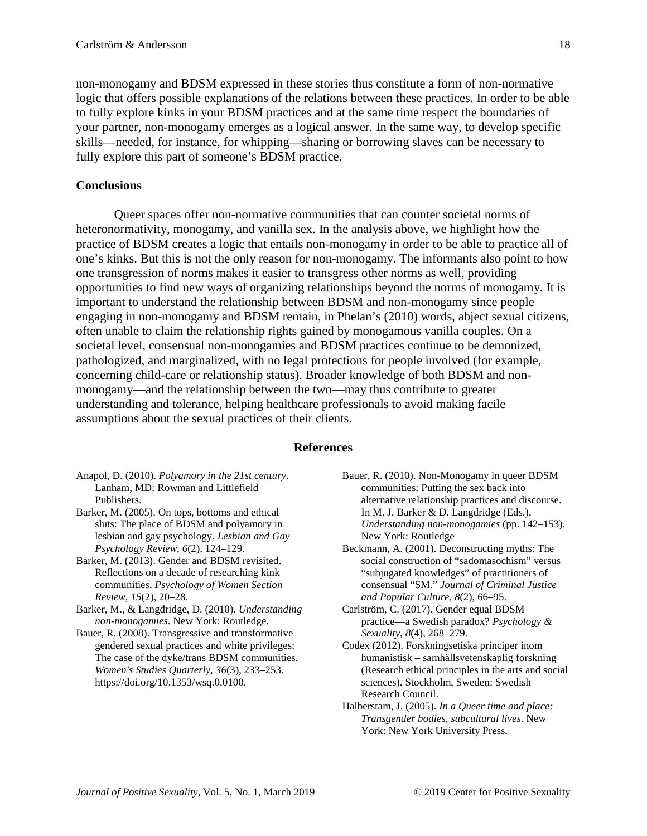non-monogamy and BDSM expressed in these stories thus constitute a form of non-normative logic that offers possible explanations of the relations between these practices. In order to be able to fully explore kinks in your BDSM practices and at the same time respect the boundaries of your partner, non-monogamy emerges as a logical answer. In the same way, to develop specific skills—needed, for instance, for whipping—sharing or borrowing slaves can be necessary to fully explore this part of someone's BDSM practice.

#### **Conclusions**

Queer spaces offer non-normative communities that can counter societal norms of heteronormativity, monogamy, and vanilla sex. In the analysis above, we highlight how the practice of BDSM creates a logic that entails non-monogamy in order to be able to practice all of one's kinks. But this is not the only reason for non-monogamy. The informants also point to how one transgression of norms makes it easier to transgress other norms as well, providing opportunities to find new ways of organizing relationships beyond the norms of monogamy. It is important to understand the relationship between BDSM and non-monogamy since people engaging in non-monogamy and BDSM remain, in Phelan's (2010) words, abject sexual citizens, often unable to claim the relationship rights gained by monogamous vanilla couples. On a societal level, consensual non-monogamies and BDSM practices continue to be demonized, pathologized, and marginalized, with no legal protections for people involved (for example, concerning child-care or relationship status). Broader knowledge of both BDSM and nonmonogamy—and the relationship between the two—may thus contribute to greater understanding and tolerance, helping healthcare professionals to avoid making facile assumptions about the sexual practices of their clients.

#### **References**

- Anapol, D. (2010). *Polyamory in the 21st century*. Lanham, MD: Rowman and Littlefield Publishers.
- Barker, M. (2005). On tops, bottoms and ethical sluts: The place of BDSM and polyamory in lesbian and gay psychology. *Lesbian and Gay Psychology Review*, *6*(2), 124–129.
- Barker, M. (2013). Gender and BDSM revisited. Reflections on a decade of researching kink communities. *Psychology of Women Section Review*, *15*(2), 20–28.
- Barker, M., & Langdridge, D. (2010). *Understanding non-monogamies*. New York: Routledge.
- Bauer, R. (2008). Transgressive and transformative gendered sexual practices and white privileges: The case of the dyke/trans BDSM communities. *Women's Studies Quarterly*, *36*(3), 233–253. https://doi.org/10.1353/wsq.0.0100.
- Bauer, R. (2010). Non-Monogamy in queer BDSM communities: Putting the sex back into alternative relationship practices and discourse. In M. J. Barker & D. Langdridge (Eds.), *Understanding non-monogamies* (pp. 142–153). New York: Routledge
- Beckmann, A. (2001). Deconstructing myths: The social construction of "sadomasochism" versus "subjugated knowledges" of practitioners of consensual "SM." *Journal of Criminal Justice and Popular Culture*, *8*(2), 66–95.
- Carlström, C. (2017). Gender equal BDSM practice—a Swedish paradox? *Psychology & Sexuality*, *8*(4), 268–279.
- Codex (2012). Forskningsetiska principer inom humanistisk – samhällsvetenskaplig forskning (Research ethical principles in the arts and social sciences). Stockholm, Sweden: Swedish Research Council.
- Halberstam, J. (2005). *In a Queer time and place: Transgender bodies, subcultural lives*. New York: New York University Press.